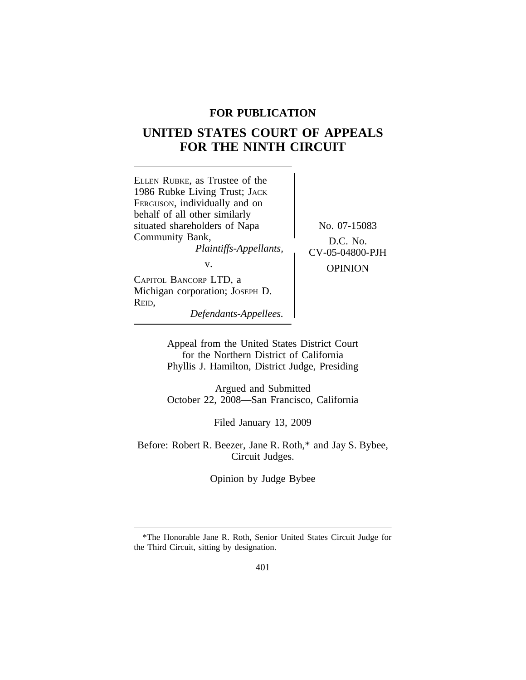# **FOR PUBLICATION**

# **UNITED STATES COURT OF APPEALS FOR THE NINTH CIRCUIT**



Appeal from the United States District Court for the Northern District of California Phyllis J. Hamilton, District Judge, Presiding

Argued and Submitted October 22, 2008—San Francisco, California

Filed January 13, 2009

Before: Robert R. Beezer, Jane R. Roth,\* and Jay S. Bybee, Circuit Judges.

Opinion by Judge Bybee

<sup>\*</sup>The Honorable Jane R. Roth, Senior United States Circuit Judge for the Third Circuit, sitting by designation.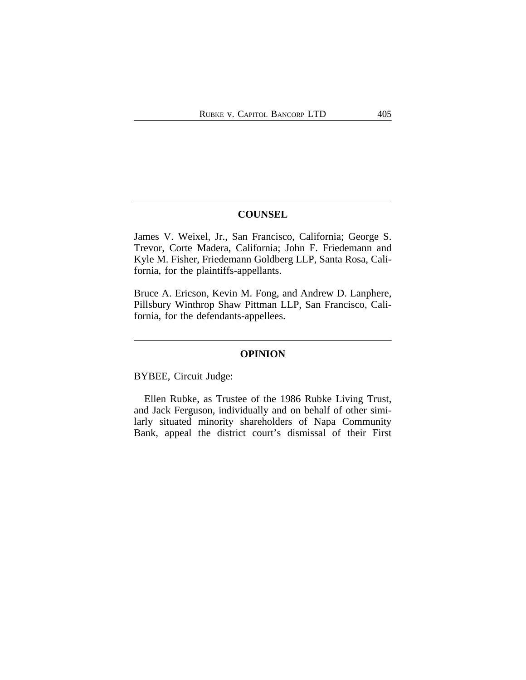# **COUNSEL**

James V. Weixel, Jr., San Francisco, California; George S. Trevor, Corte Madera, California; John F. Friedemann and Kyle M. Fisher, Friedemann Goldberg LLP, Santa Rosa, California, for the plaintiffs-appellants.

Bruce A. Ericson, Kevin M. Fong, and Andrew D. Lanphere, Pillsbury Winthrop Shaw Pittman LLP, San Francisco, California, for the defendants-appellees.

## **OPINION**

BYBEE, Circuit Judge:

Ellen Rubke, as Trustee of the 1986 Rubke Living Trust, and Jack Ferguson, individually and on behalf of other similarly situated minority shareholders of Napa Community Bank, appeal the district court's dismissal of their First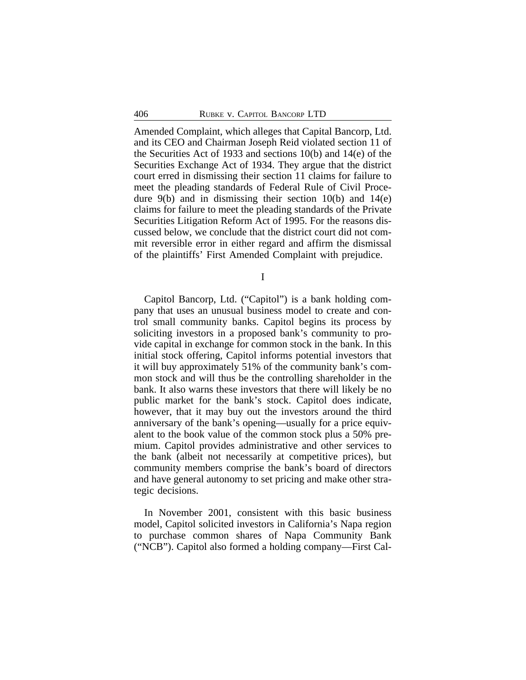Amended Complaint, which alleges that Capital Bancorp, Ltd. and its CEO and Chairman Joseph Reid violated section 11 of the Securities Act of 1933 and sections 10(b) and 14(e) of the Securities Exchange Act of 1934. They argue that the district court erred in dismissing their section 11 claims for failure to meet the pleading standards of Federal Rule of Civil Procedure  $9(b)$  and in dismissing their section  $10(b)$  and  $14(e)$ claims for failure to meet the pleading standards of the Private Securities Litigation Reform Act of 1995. For the reasons discussed below, we conclude that the district court did not commit reversible error in either regard and affirm the dismissal of the plaintiffs' First Amended Complaint with prejudice.

I

Capitol Bancorp, Ltd. ("Capitol") is a bank holding company that uses an unusual business model to create and control small community banks. Capitol begins its process by soliciting investors in a proposed bank's community to provide capital in exchange for common stock in the bank. In this initial stock offering, Capitol informs potential investors that it will buy approximately 51% of the community bank's common stock and will thus be the controlling shareholder in the bank. It also warns these investors that there will likely be no public market for the bank's stock. Capitol does indicate, however, that it may buy out the investors around the third anniversary of the bank's opening—usually for a price equivalent to the book value of the common stock plus a 50% premium. Capitol provides administrative and other services to the bank (albeit not necessarily at competitive prices), but community members comprise the bank's board of directors and have general autonomy to set pricing and make other strategic decisions.

In November 2001, consistent with this basic business model, Capitol solicited investors in California's Napa region to purchase common shares of Napa Community Bank ("NCB"). Capitol also formed a holding company—First Cal-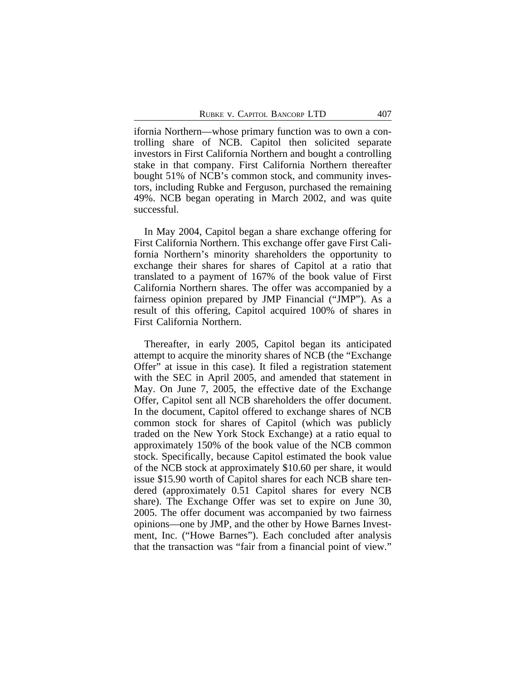ifornia Northern—whose primary function was to own a controlling share of NCB. Capitol then solicited separate investors in First California Northern and bought a controlling stake in that company. First California Northern thereafter bought 51% of NCB's common stock, and community investors, including Rubke and Ferguson, purchased the remaining 49%. NCB began operating in March 2002, and was quite successful.

In May 2004, Capitol began a share exchange offering for First California Northern. This exchange offer gave First California Northern's minority shareholders the opportunity to exchange their shares for shares of Capitol at a ratio that translated to a payment of 167% of the book value of First California Northern shares. The offer was accompanied by a fairness opinion prepared by JMP Financial ("JMP"). As a result of this offering, Capitol acquired 100% of shares in First California Northern.

Thereafter, in early 2005, Capitol began its anticipated attempt to acquire the minority shares of NCB (the "Exchange Offer" at issue in this case). It filed a registration statement with the SEC in April 2005, and amended that statement in May. On June 7, 2005, the effective date of the Exchange Offer, Capitol sent all NCB shareholders the offer document. In the document, Capitol offered to exchange shares of NCB common stock for shares of Capitol (which was publicly traded on the New York Stock Exchange) at a ratio equal to approximately 150% of the book value of the NCB common stock. Specifically, because Capitol estimated the book value of the NCB stock at approximately \$10.60 per share, it would issue \$15.90 worth of Capitol shares for each NCB share tendered (approximately 0.51 Capitol shares for every NCB share). The Exchange Offer was set to expire on June 30, 2005. The offer document was accompanied by two fairness opinions—one by JMP, and the other by Howe Barnes Investment, Inc. ("Howe Barnes"). Each concluded after analysis that the transaction was "fair from a financial point of view."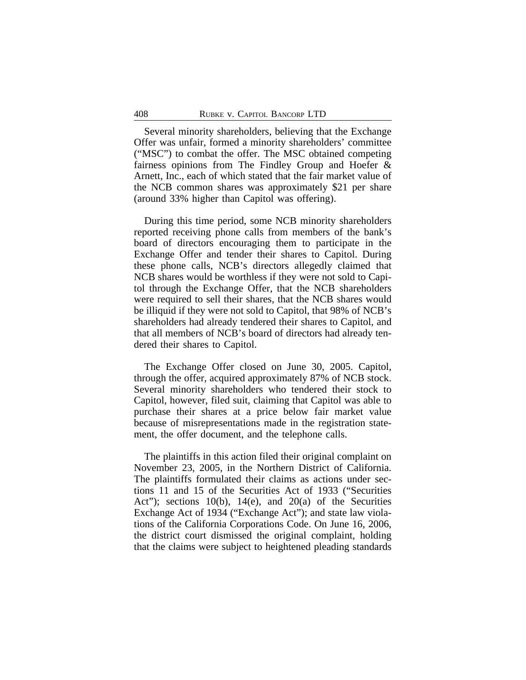Several minority shareholders, believing that the Exchange Offer was unfair, formed a minority shareholders' committee ("MSC") to combat the offer. The MSC obtained competing fairness opinions from The Findley Group and Hoefer & Arnett, Inc., each of which stated that the fair market value of the NCB common shares was approximately \$21 per share (around 33% higher than Capitol was offering).

During this time period, some NCB minority shareholders reported receiving phone calls from members of the bank's board of directors encouraging them to participate in the Exchange Offer and tender their shares to Capitol. During these phone calls, NCB's directors allegedly claimed that NCB shares would be worthless if they were not sold to Capitol through the Exchange Offer, that the NCB shareholders were required to sell their shares, that the NCB shares would be illiquid if they were not sold to Capitol, that 98% of NCB's shareholders had already tendered their shares to Capitol, and that all members of NCB's board of directors had already tendered their shares to Capitol.

The Exchange Offer closed on June 30, 2005. Capitol, through the offer, acquired approximately 87% of NCB stock. Several minority shareholders who tendered their stock to Capitol, however, filed suit, claiming that Capitol was able to purchase their shares at a price below fair market value because of misrepresentations made in the registration statement, the offer document, and the telephone calls.

The plaintiffs in this action filed their original complaint on November 23, 2005, in the Northern District of California. The plaintiffs formulated their claims as actions under sections 11 and 15 of the Securities Act of 1933 ("Securities Act"); sections 10(b), 14(e), and 20(a) of the Securities Exchange Act of 1934 ("Exchange Act"); and state law violations of the California Corporations Code. On June 16, 2006, the district court dismissed the original complaint, holding that the claims were subject to heightened pleading standards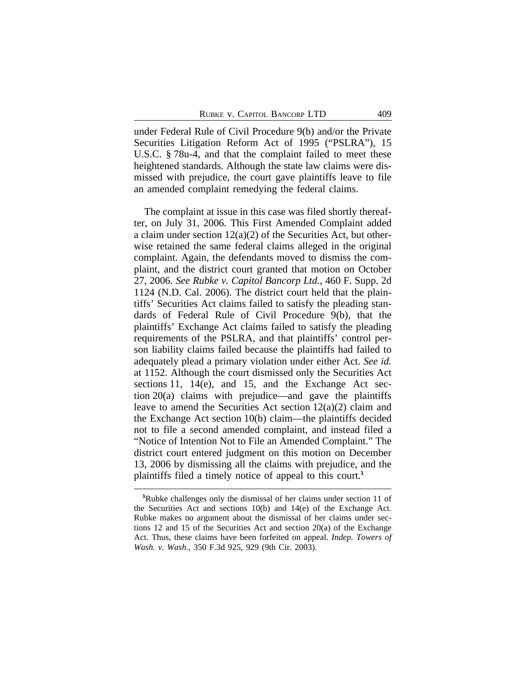under Federal Rule of Civil Procedure 9(b) and/or the Private Securities Litigation Reform Act of 1995 ("PSLRA"), 15 U.S.C. § 78u-4, and that the complaint failed to meet these heightened standards. Although the state law claims were dismissed with prejudice, the court gave plaintiffs leave to file an amended complaint remedying the federal claims.

The complaint at issue in this case was filed shortly thereafter, on July 31, 2006. This First Amended Complaint added a claim under section  $12(a)(2)$  of the Securities Act, but otherwise retained the same federal claims alleged in the original complaint. Again, the defendants moved to dismiss the complaint, and the district court granted that motion on October 27, 2006. *See Rubke v. Capitol Bancorp Ltd.*, 460 F. Supp. 2d 1124 (N.D. Cal. 2006). The district court held that the plaintiffs' Securities Act claims failed to satisfy the pleading standards of Federal Rule of Civil Procedure 9(b), that the plaintiffs' Exchange Act claims failed to satisfy the pleading requirements of the PSLRA, and that plaintiffs' control person liability claims failed because the plaintiffs had failed to adequately plead a primary violation under either Act. *See id.* at 1152. Although the court dismissed only the Securities Act sections 11, 14(e), and 15, and the Exchange Act section 20(a) claims with prejudice—and gave the plaintiffs leave to amend the Securities Act section 12(a)(2) claim and the Exchange Act section 10(b) claim—the plaintiffs decided not to file a second amended complaint, and instead filed a "Notice of Intention Not to File an Amended Complaint." The district court entered judgment on this motion on December 13, 2006 by dismissing all the claims with prejudice, and the plaintiffs filed a timely notice of appeal to this court.**<sup>1</sup>**

**<sup>1</sup>**Rubke challenges only the dismissal of her claims under section 11 of the Securities Act and sections 10(b) and 14(e) of the Exchange Act. Rubke makes no argument about the dismissal of her claims under sections 12 and 15 of the Securities Act and section 20(a) of the Exchange Act. Thus, these claims have been forfeited on appeal. *Indep. Towers of Wash. v. Wash.*, 350 F.3d 925, 929 (9th Cir. 2003).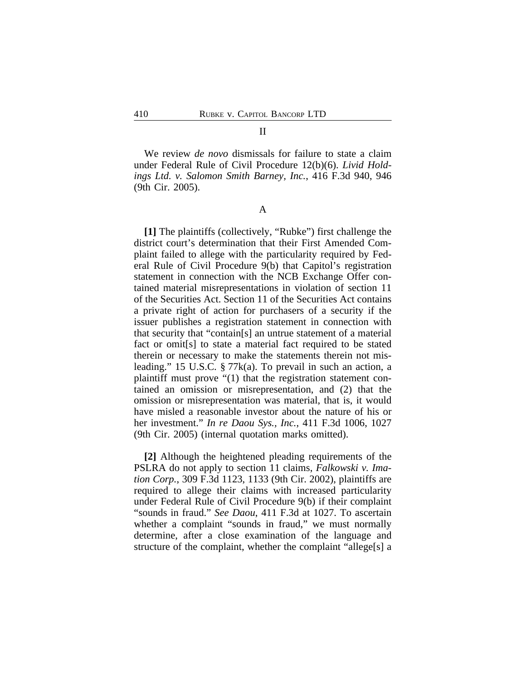#### II

We review *de novo* dismissals for failure to state a claim under Federal Rule of Civil Procedure 12(b)(6). *Livid Holdings Ltd. v. Salomon Smith Barney, Inc.*, 416 F.3d 940, 946 (9th Cir. 2005).

A

**[1]** The plaintiffs (collectively, "Rubke") first challenge the district court's determination that their First Amended Complaint failed to allege with the particularity required by Federal Rule of Civil Procedure 9(b) that Capitol's registration statement in connection with the NCB Exchange Offer contained material misrepresentations in violation of section 11 of the Securities Act. Section 11 of the Securities Act contains a private right of action for purchasers of a security if the issuer publishes a registration statement in connection with that security that "contain[s] an untrue statement of a material fact or omit[s] to state a material fact required to be stated therein or necessary to make the statements therein not misleading." 15 U.S.C. § 77k(a). To prevail in such an action, a plaintiff must prove "(1) that the registration statement contained an omission or misrepresentation, and (2) that the omission or misrepresentation was material, that is, it would have misled a reasonable investor about the nature of his or her investment." *In re Daou Sys., Inc.*, 411 F.3d 1006, 1027 (9th Cir. 2005) (internal quotation marks omitted).

**[2]** Although the heightened pleading requirements of the PSLRA do not apply to section 11 claims, *Falkowski v. Imation Corp.*, 309 F.3d 1123, 1133 (9th Cir. 2002), plaintiffs are required to allege their claims with increased particularity under Federal Rule of Civil Procedure 9(b) if their complaint "sounds in fraud." *See Daou*, 411 F.3d at 1027. To ascertain whether a complaint "sounds in fraud," we must normally determine, after a close examination of the language and structure of the complaint, whether the complaint "allege[s] a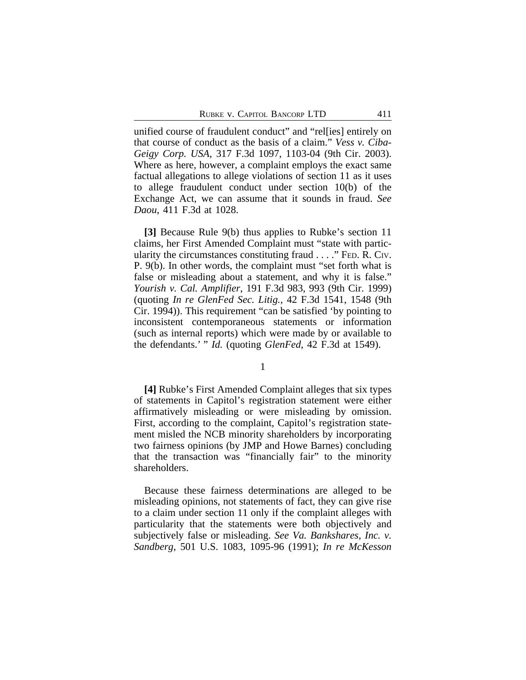unified course of fraudulent conduct" and "rel[ies] entirely on that course of conduct as the basis of a claim." *Vess v. Ciba-Geigy Corp. USA*, 317 F.3d 1097, 1103-04 (9th Cir. 2003). Where as here, however, a complaint employs the exact same factual allegations to allege violations of section 11 as it uses to allege fraudulent conduct under section 10(b) of the Exchange Act, we can assume that it sounds in fraud. *See Daou*, 411 F.3d at 1028.

**[3]** Because Rule 9(b) thus applies to Rubke's section 11 claims, her First Amended Complaint must "state with particularity the circumstances constituting fraud . . . ." FED. R. CIV. P. 9(b). In other words, the complaint must "set forth what is false or misleading about a statement, and why it is false." *Yourish v. Cal. Amplifier*, 191 F.3d 983, 993 (9th Cir. 1999) (quoting *In re GlenFed Sec. Litig.*, 42 F.3d 1541, 1548 (9th Cir. 1994)). This requirement "can be satisfied 'by pointing to inconsistent contemporaneous statements or information (such as internal reports) which were made by or available to the defendants.' " *Id.* (quoting *GlenFed*, 42 F.3d at 1549).

1

**[4]** Rubke's First Amended Complaint alleges that six types of statements in Capitol's registration statement were either affirmatively misleading or were misleading by omission. First, according to the complaint, Capitol's registration statement misled the NCB minority shareholders by incorporating two fairness opinions (by JMP and Howe Barnes) concluding that the transaction was "financially fair" to the minority shareholders.

Because these fairness determinations are alleged to be misleading opinions, not statements of fact, they can give rise to a claim under section 11 only if the complaint alleges with particularity that the statements were both objectively and subjectively false or misleading. *See Va. Bankshares, Inc. v. Sandberg*, 501 U.S. 1083, 1095-96 (1991); *In re McKesson*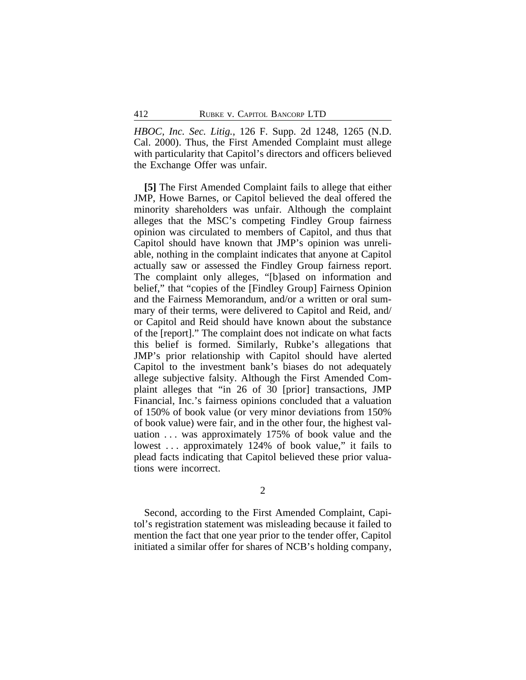*HBOC, Inc. Sec. Litig.*, 126 F. Supp. 2d 1248, 1265 (N.D. Cal. 2000). Thus, the First Amended Complaint must allege with particularity that Capitol's directors and officers believed the Exchange Offer was unfair.

**[5]** The First Amended Complaint fails to allege that either JMP, Howe Barnes, or Capitol believed the deal offered the minority shareholders was unfair. Although the complaint alleges that the MSC's competing Findley Group fairness opinion was circulated to members of Capitol, and thus that Capitol should have known that JMP's opinion was unreliable, nothing in the complaint indicates that anyone at Capitol actually saw or assessed the Findley Group fairness report. The complaint only alleges, "[b]ased on information and belief," that "copies of the [Findley Group] Fairness Opinion and the Fairness Memorandum, and/or a written or oral summary of their terms, were delivered to Capitol and Reid, and/ or Capitol and Reid should have known about the substance of the [report]." The complaint does not indicate on what facts this belief is formed. Similarly, Rubke's allegations that JMP's prior relationship with Capitol should have alerted Capitol to the investment bank's biases do not adequately allege subjective falsity. Although the First Amended Complaint alleges that "in 26 of 30 [prior] transactions, JMP Financial, Inc.'s fairness opinions concluded that a valuation of 150% of book value (or very minor deviations from 150% of book value) were fair, and in the other four, the highest valuation . . . was approximately 175% of book value and the lowest ... approximately 124% of book value," it fails to plead facts indicating that Capitol believed these prior valuations were incorrect.

2

Second, according to the First Amended Complaint, Capitol's registration statement was misleading because it failed to mention the fact that one year prior to the tender offer, Capitol initiated a similar offer for shares of NCB's holding company,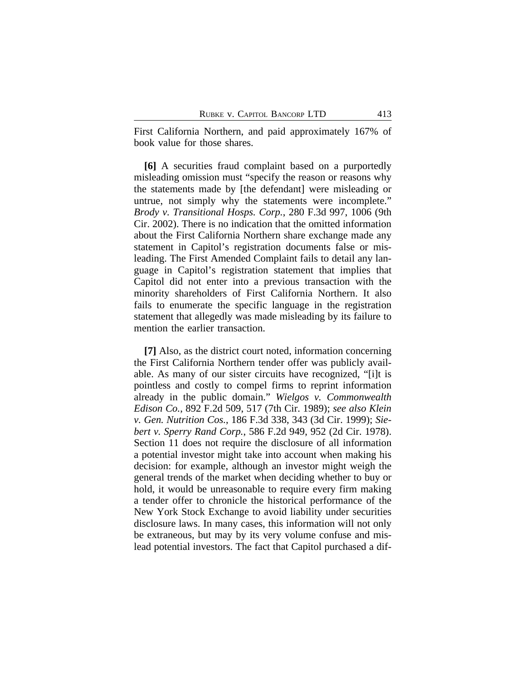First California Northern, and paid approximately 167% of book value for those shares.

**[6]** A securities fraud complaint based on a purportedly misleading omission must "specify the reason or reasons why the statements made by [the defendant] were misleading or untrue, not simply why the statements were incomplete." *Brody v. Transitional Hosps. Corp.*, 280 F.3d 997, 1006 (9th Cir. 2002). There is no indication that the omitted information about the First California Northern share exchange made any statement in Capitol's registration documents false or misleading. The First Amended Complaint fails to detail any language in Capitol's registration statement that implies that Capitol did not enter into a previous transaction with the minority shareholders of First California Northern. It also fails to enumerate the specific language in the registration statement that allegedly was made misleading by its failure to mention the earlier transaction.

**[7]** Also, as the district court noted, information concerning the First California Northern tender offer was publicly available. As many of our sister circuits have recognized, "[i]t is pointless and costly to compel firms to reprint information already in the public domain." *Wielgos v. Commonwealth Edison Co.*, 892 F.2d 509, 517 (7th Cir. 1989); *see also Klein v. Gen. Nutrition Cos.*, 186 F.3d 338, 343 (3d Cir. 1999); *Siebert v. Sperry Rand Corp.*, 586 F.2d 949, 952 (2d Cir. 1978). Section 11 does not require the disclosure of all information a potential investor might take into account when making his decision: for example, although an investor might weigh the general trends of the market when deciding whether to buy or hold, it would be unreasonable to require every firm making a tender offer to chronicle the historical performance of the New York Stock Exchange to avoid liability under securities disclosure laws. In many cases, this information will not only be extraneous, but may by its very volume confuse and mislead potential investors. The fact that Capitol purchased a dif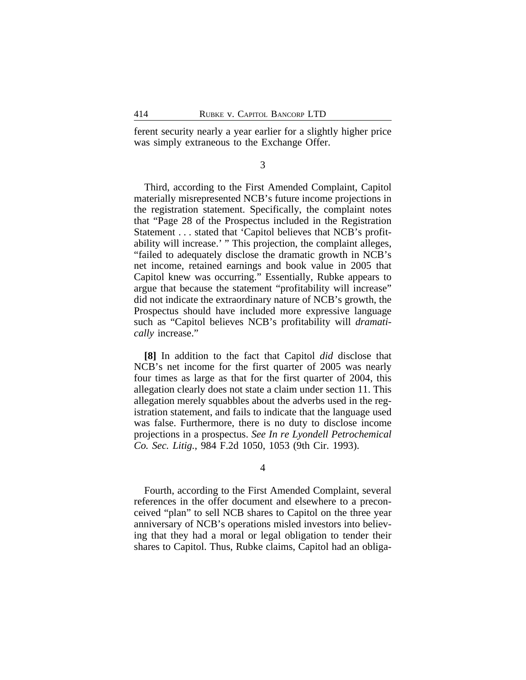ferent security nearly a year earlier for a slightly higher price was simply extraneous to the Exchange Offer.

3

Third, according to the First Amended Complaint, Capitol materially misrepresented NCB's future income projections in the registration statement. Specifically, the complaint notes that "Page 28 of the Prospectus included in the Registration Statement . . . stated that 'Capitol believes that NCB's profitability will increase.' " This projection, the complaint alleges, "failed to adequately disclose the dramatic growth in NCB's net income, retained earnings and book value in 2005 that Capitol knew was occurring." Essentially, Rubke appears to argue that because the statement "profitability will increase" did not indicate the extraordinary nature of NCB's growth, the Prospectus should have included more expressive language such as "Capitol believes NCB's profitability will *dramatically* increase."

**[8]** In addition to the fact that Capitol *did* disclose that NCB's net income for the first quarter of 2005 was nearly four times as large as that for the first quarter of 2004, this allegation clearly does not state a claim under section 11. This allegation merely squabbles about the adverbs used in the registration statement, and fails to indicate that the language used was false. Furthermore, there is no duty to disclose income projections in a prospectus. *See In re Lyondell Petrochemical Co. Sec. Litig.*, 984 F.2d 1050, 1053 (9th Cir. 1993).

4

Fourth, according to the First Amended Complaint, several references in the offer document and elsewhere to a preconceived "plan" to sell NCB shares to Capitol on the three year anniversary of NCB's operations misled investors into believing that they had a moral or legal obligation to tender their shares to Capitol. Thus, Rubke claims, Capitol had an obliga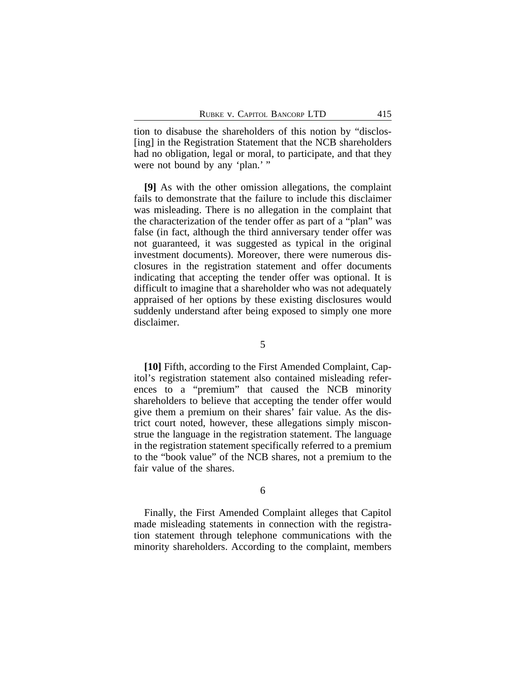tion to disabuse the shareholders of this notion by "disclos- [ing] in the Registration Statement that the NCB shareholders had no obligation, legal or moral, to participate, and that they were not bound by any 'plan.' "

**[9]** As with the other omission allegations, the complaint fails to demonstrate that the failure to include this disclaimer was misleading. There is no allegation in the complaint that the characterization of the tender offer as part of a "plan" was false (in fact, although the third anniversary tender offer was not guaranteed, it was suggested as typical in the original investment documents). Moreover, there were numerous disclosures in the registration statement and offer documents indicating that accepting the tender offer was optional. It is difficult to imagine that a shareholder who was not adequately appraised of her options by these existing disclosures would suddenly understand after being exposed to simply one more disclaimer.

**[10]** Fifth, according to the First Amended Complaint, Capitol's registration statement also contained misleading references to a "premium" that caused the NCB minority shareholders to believe that accepting the tender offer would give them a premium on their shares' fair value. As the district court noted, however, these allegations simply misconstrue the language in the registration statement. The language in the registration statement specifically referred to a premium to the "book value" of the NCB shares, not a premium to the fair value of the shares.

6

Finally, the First Amended Complaint alleges that Capitol made misleading statements in connection with the registration statement through telephone communications with the minority shareholders. According to the complaint, members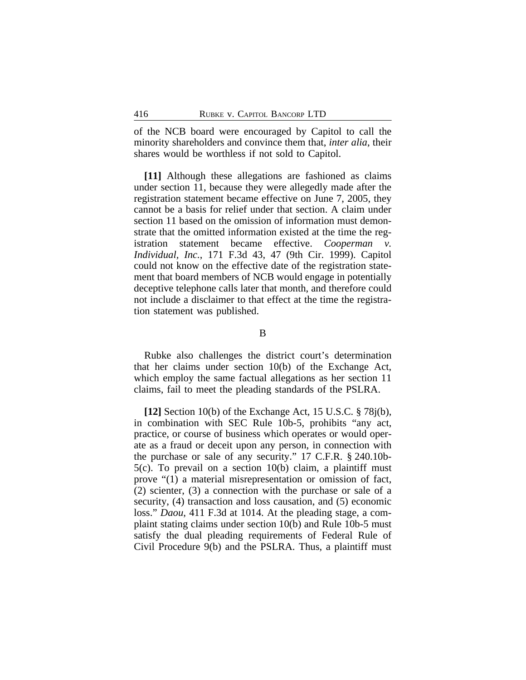of the NCB board were encouraged by Capitol to call the minority shareholders and convince them that, *inter alia*, their shares would be worthless if not sold to Capitol.

**[11]** Although these allegations are fashioned as claims under section 11, because they were allegedly made after the registration statement became effective on June 7, 2005, they cannot be a basis for relief under that section. A claim under section 11 based on the omission of information must demonstrate that the omitted information existed at the time the registration statement became effective. *Cooperman v. Individual, Inc.*, 171 F.3d 43, 47 (9th Cir. 1999). Capitol could not know on the effective date of the registration statement that board members of NCB would engage in potentially deceptive telephone calls later that month, and therefore could not include a disclaimer to that effect at the time the registration statement was published.

### B

Rubke also challenges the district court's determination that her claims under section 10(b) of the Exchange Act, which employ the same factual allegations as her section 11 claims, fail to meet the pleading standards of the PSLRA.

**[12]** Section 10(b) of the Exchange Act, 15 U.S.C. § 78j(b), in combination with SEC Rule 10b-5, prohibits "any act, practice, or course of business which operates or would operate as a fraud or deceit upon any person, in connection with the purchase or sale of any security." 17 C.F.R. § 240.10b-5(c). To prevail on a section 10(b) claim, a plaintiff must prove "(1) a material misrepresentation or omission of fact, (2) scienter, (3) a connection with the purchase or sale of a security, (4) transaction and loss causation, and (5) economic loss." *Daou*, 411 F.3d at 1014. At the pleading stage, a complaint stating claims under section 10(b) and Rule 10b-5 must satisfy the dual pleading requirements of Federal Rule of Civil Procedure 9(b) and the PSLRA. Thus, a plaintiff must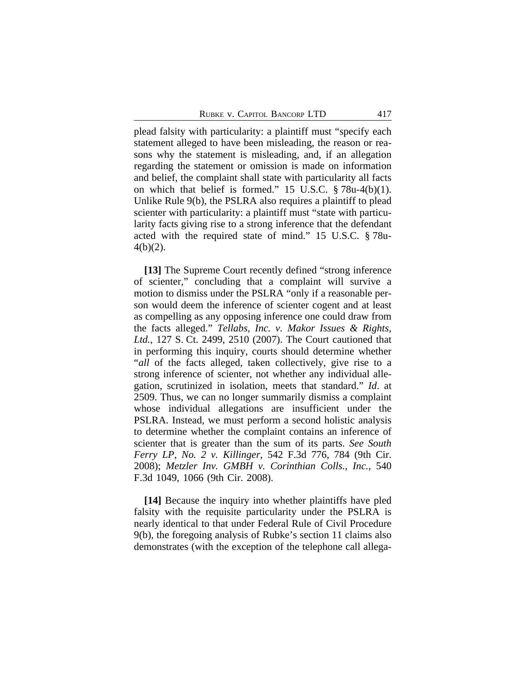plead falsity with particularity: a plaintiff must "specify each statement alleged to have been misleading, the reason or reasons why the statement is misleading, and, if an allegation regarding the statement or omission is made on information and belief, the complaint shall state with particularity all facts on which that belief is formed." 15 U.S.C. § 78u-4(b)(1). Unlike Rule 9(b), the PSLRA also requires a plaintiff to plead scienter with particularity: a plaintiff must "state with particularity facts giving rise to a strong inference that the defendant acted with the required state of mind." 15 U.S.C. § 78u-4(b)(2).

**[13]** The Supreme Court recently defined "strong inference of scienter," concluding that a complaint will survive a motion to dismiss under the PSLRA "only if a reasonable person would deem the inference of scienter cogent and at least as compelling as any opposing inference one could draw from the facts alleged." *Tellabs, Inc. v. Makor Issues & Rights, Ltd.*, 127 S. Ct. 2499, 2510 (2007). The Court cautioned that in performing this inquiry, courts should determine whether "*all* of the facts alleged, taken collectively, give rise to a strong inference of scienter, not whether any individual allegation, scrutinized in isolation, meets that standard." *Id*. at 2509. Thus, we can no longer summarily dismiss a complaint whose individual allegations are insufficient under the PSLRA. Instead, we must perform a second holistic analysis to determine whether the complaint contains an inference of scienter that is greater than the sum of its parts. *See South Ferry LP, No. 2 v. Killinger*, 542 F.3d 776, 784 (9th Cir. 2008); *Metzler Inv. GMBH v. Corinthian Colls., Inc.*, 540 F.3d 1049, 1066 (9th Cir. 2008).

**[14]** Because the inquiry into whether plaintiffs have pled falsity with the requisite particularity under the PSLRA is nearly identical to that under Federal Rule of Civil Procedure 9(b), the foregoing analysis of Rubke's section 11 claims also demonstrates (with the exception of the telephone call allega-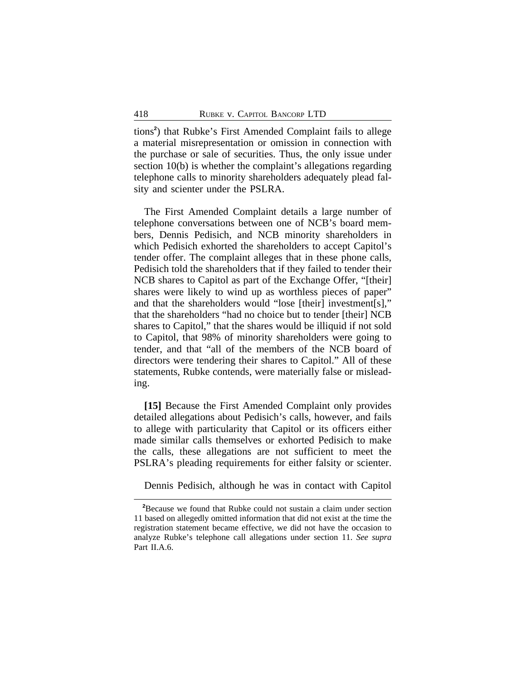tions**<sup>2</sup>** ) that Rubke's First Amended Complaint fails to allege a material misrepresentation or omission in connection with the purchase or sale of securities. Thus, the only issue under section 10(b) is whether the complaint's allegations regarding telephone calls to minority shareholders adequately plead falsity and scienter under the PSLRA.

The First Amended Complaint details a large number of telephone conversations between one of NCB's board members, Dennis Pedisich, and NCB minority shareholders in which Pedisich exhorted the shareholders to accept Capitol's tender offer. The complaint alleges that in these phone calls, Pedisich told the shareholders that if they failed to tender their NCB shares to Capitol as part of the Exchange Offer, "[their] shares were likely to wind up as worthless pieces of paper" and that the shareholders would "lose [their] investment[s]," that the shareholders "had no choice but to tender [their] NCB shares to Capitol," that the shares would be illiquid if not sold to Capitol, that 98% of minority shareholders were going to tender, and that "all of the members of the NCB board of directors were tendering their shares to Capitol." All of these statements, Rubke contends, were materially false or misleading.

**[15]** Because the First Amended Complaint only provides detailed allegations about Pedisich's calls, however, and fails to allege with particularity that Capitol or its officers either made similar calls themselves or exhorted Pedisich to make the calls, these allegations are not sufficient to meet the PSLRA's pleading requirements for either falsity or scienter.

Dennis Pedisich, although he was in contact with Capitol

**<sup>2</sup>**Because we found that Rubke could not sustain a claim under section 11 based on allegedly omitted information that did not exist at the time the registration statement became effective, we did not have the occasion to analyze Rubke's telephone call allegations under section 11. *See supra* Part II.A.6.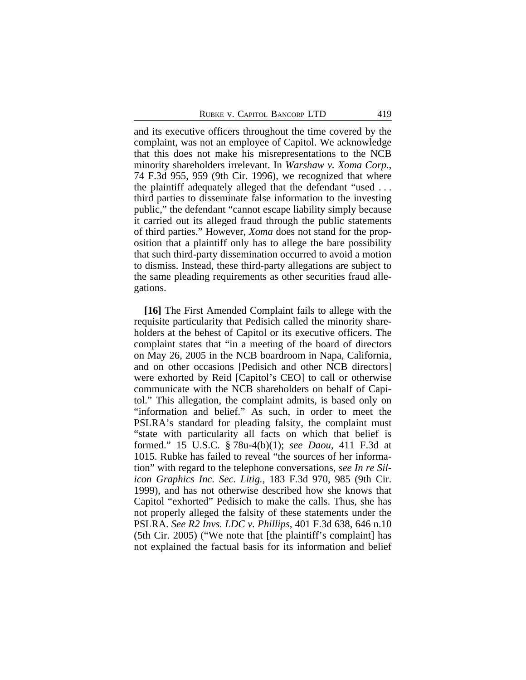and its executive officers throughout the time covered by the complaint, was not an employee of Capitol. We acknowledge that this does not make his misrepresentations to the NCB minority shareholders irrelevant. In *Warshaw v. Xoma Corp.*, 74 F.3d 955, 959 (9th Cir. 1996), we recognized that where the plaintiff adequately alleged that the defendant "used . . . third parties to disseminate false information to the investing public," the defendant "cannot escape liability simply because it carried out its alleged fraud through the public statements of third parties." However, *Xoma* does not stand for the proposition that a plaintiff only has to allege the bare possibility that such third-party dissemination occurred to avoid a motion to dismiss. Instead, these third-party allegations are subject to the same pleading requirements as other securities fraud allegations.

**[16]** The First Amended Complaint fails to allege with the requisite particularity that Pedisich called the minority shareholders at the behest of Capitol or its executive officers. The complaint states that "in a meeting of the board of directors on May 26, 2005 in the NCB boardroom in Napa, California, and on other occasions [Pedisich and other NCB directors] were exhorted by Reid [Capitol's CEO] to call or otherwise communicate with the NCB shareholders on behalf of Capitol." This allegation, the complaint admits, is based only on "information and belief." As such, in order to meet the PSLRA's standard for pleading falsity, the complaint must "state with particularity all facts on which that belief is formed." 15 U.S.C. § 78u-4(b)(1); *see Daou*, 411 F.3d at 1015. Rubke has failed to reveal "the sources of her information" with regard to the telephone conversations, *see In re Silicon Graphics Inc. Sec. Litig.*, 183 F.3d 970, 985 (9th Cir. 1999), and has not otherwise described how she knows that Capitol "exhorted" Pedisich to make the calls. Thus, she has not properly alleged the falsity of these statements under the PSLRA. *See R2 Invs. LDC v. Phillips*, 401 F.3d 638, 646 n.10 (5th Cir. 2005) ("We note that [the plaintiff's complaint] has not explained the factual basis for its information and belief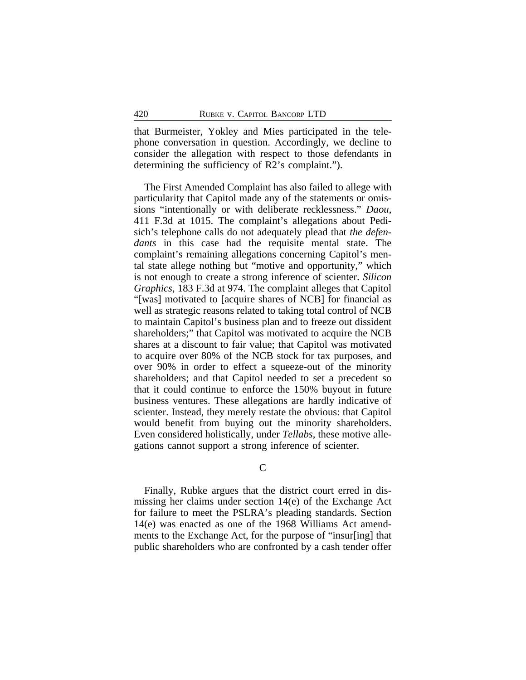that Burmeister, Yokley and Mies participated in the telephone conversation in question. Accordingly, we decline to consider the allegation with respect to those defendants in determining the sufficiency of R2's complaint.").

The First Amended Complaint has also failed to allege with particularity that Capitol made any of the statements or omissions "intentionally or with deliberate recklessness." *Daou*, 411 F.3d at 1015. The complaint's allegations about Pedisich's telephone calls do not adequately plead that *the defendants* in this case had the requisite mental state. The complaint's remaining allegations concerning Capitol's mental state allege nothing but "motive and opportunity," which is not enough to create a strong inference of scienter. *Silicon Graphics*, 183 F.3d at 974. The complaint alleges that Capitol "[was] motivated to [acquire shares of NCB] for financial as well as strategic reasons related to taking total control of NCB to maintain Capitol's business plan and to freeze out dissident shareholders;" that Capitol was motivated to acquire the NCB shares at a discount to fair value; that Capitol was motivated to acquire over 80% of the NCB stock for tax purposes, and over 90% in order to effect a squeeze-out of the minority shareholders; and that Capitol needed to set a precedent so that it could continue to enforce the 150% buyout in future business ventures. These allegations are hardly indicative of scienter. Instead, they merely restate the obvious: that Capitol would benefit from buying out the minority shareholders. Even considered holistically, under *Tellabs*, these motive allegations cannot support a strong inference of scienter.

 $\mathcal{C}$ 

Finally, Rubke argues that the district court erred in dismissing her claims under section 14(e) of the Exchange Act for failure to meet the PSLRA's pleading standards. Section 14(e) was enacted as one of the 1968 Williams Act amendments to the Exchange Act, for the purpose of "insur[ing] that public shareholders who are confronted by a cash tender offer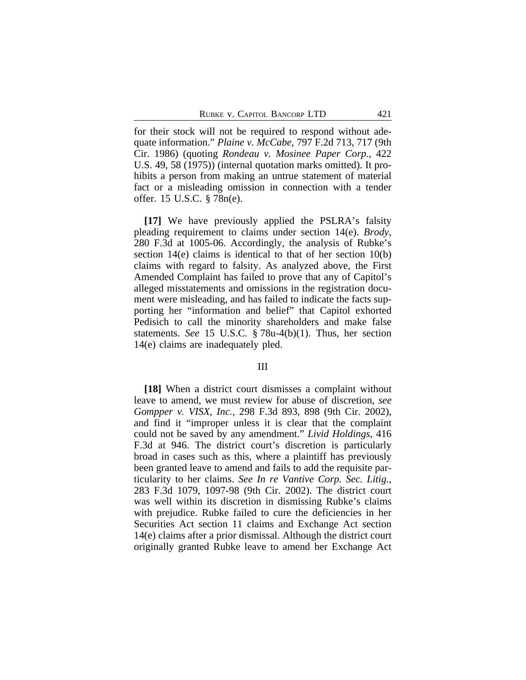for their stock will not be required to respond without adequate information." *Plaine v. McCabe*, 797 F.2d 713, 717 (9th Cir. 1986) (quoting *Rondeau v. Mosinee Paper Corp.*, 422 U.S. 49, 58 (1975)) (internal quotation marks omitted). It prohibits a person from making an untrue statement of material fact or a misleading omission in connection with a tender offer. 15 U.S.C. § 78n(e).

**[17]** We have previously applied the PSLRA's falsity pleading requirement to claims under section 14(e). *Brody*, 280 F.3d at 1005-06. Accordingly, the analysis of Rubke's section 14(e) claims is identical to that of her section 10(b) claims with regard to falsity. As analyzed above, the First Amended Complaint has failed to prove that any of Capitol's alleged misstatements and omissions in the registration document were misleading, and has failed to indicate the facts supporting her "information and belief" that Capitol exhorted Pedisich to call the minority shareholders and make false statements. *See* 15 U.S.C. § 78u-4(b)(1). Thus, her section 14(e) claims are inadequately pled.

### III

**[18]** When a district court dismisses a complaint without leave to amend, we must review for abuse of discretion, *see Gompper v. VISX, Inc.*, 298 F.3d 893, 898 (9th Cir. 2002), and find it "improper unless it is clear that the complaint could not be saved by any amendment." *Livid Holdings*, 416 F.3d at 946. The district court's discretion is particularly broad in cases such as this, where a plaintiff has previously been granted leave to amend and fails to add the requisite particularity to her claims. *See In re Vantive Corp. Sec. Litig.*, 283 F.3d 1079, 1097-98 (9th Cir. 2002). The district court was well within its discretion in dismissing Rubke's claims with prejudice. Rubke failed to cure the deficiencies in her Securities Act section 11 claims and Exchange Act section 14(e) claims after a prior dismissal. Although the district court originally granted Rubke leave to amend her Exchange Act